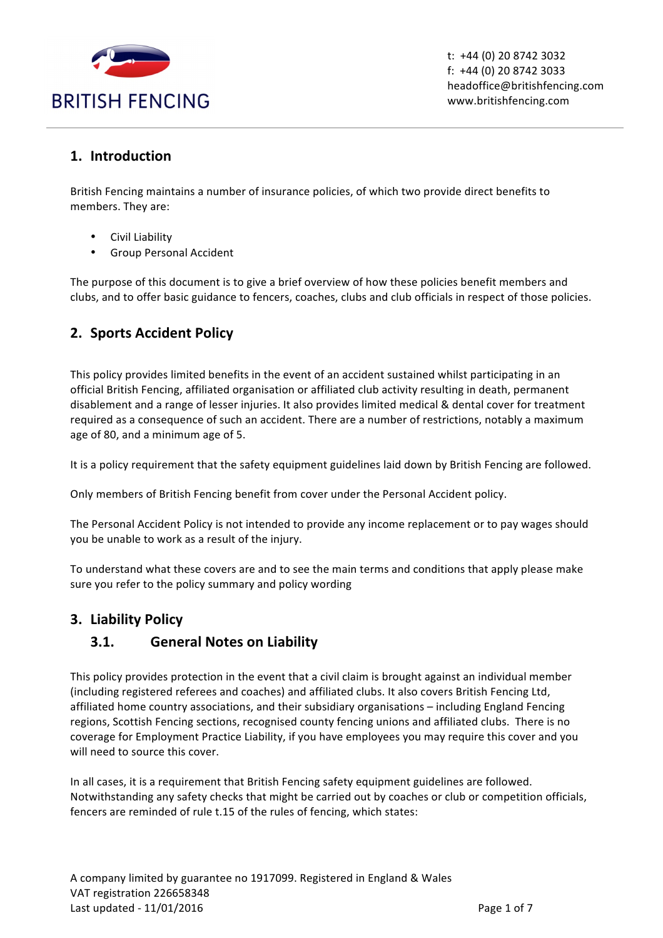

 $t: +44(0)$  20 8742 3032 f:  $+44$  (0) 20 8742 3033 headoffice@britishfencing.com www.britishfencing.com

### **1. Introduction**

British Fencing maintains a number of insurance policies, of which two provide direct benefits to members. They are:

- Civil Liability
- Group Personal Accident

The purpose of this document is to give a brief overview of how these policies benefit members and clubs, and to offer basic guidance to fencers, coaches, clubs and club officials in respect of those policies.

# **2. Sports Accident Policy**

This policy provides limited benefits in the event of an accident sustained whilst participating in an official British Fencing, affiliated organisation or affiliated club activity resulting in death, permanent disablement and a range of lesser injuries. It also provides limited medical & dental cover for treatment required as a consequence of such an accident. There are a number of restrictions, notably a maximum age of 80, and a minimum age of 5.

It is a policy requirement that the safety equipment guidelines laid down by British Fencing are followed.

Only members of British Fencing benefit from cover under the Personal Accident policy.

The Personal Accident Policy is not intended to provide any income replacement or to pay wages should you be unable to work as a result of the injury.

To understand what these covers are and to see the main terms and conditions that apply please make sure you refer to the policy summary and policy wording

### **3. Liability Policy**

### **3.1. General Notes on Liability**

This policy provides protection in the event that a civil claim is brought against an individual member (including registered referees and coaches) and affiliated clubs. It also covers British Fencing Ltd, affiliated home country associations, and their subsidiary organisations – including England Fencing regions, Scottish Fencing sections, recognised county fencing unions and affiliated clubs. There is no coverage for Employment Practice Liability, if you have employees you may require this cover and you will need to source this cover.

In all cases, it is a requirement that British Fencing safety equipment guidelines are followed. Notwithstanding any safety checks that might be carried out by coaches or club or competition officials, fencers are reminded of rule t.15 of the rules of fencing, which states: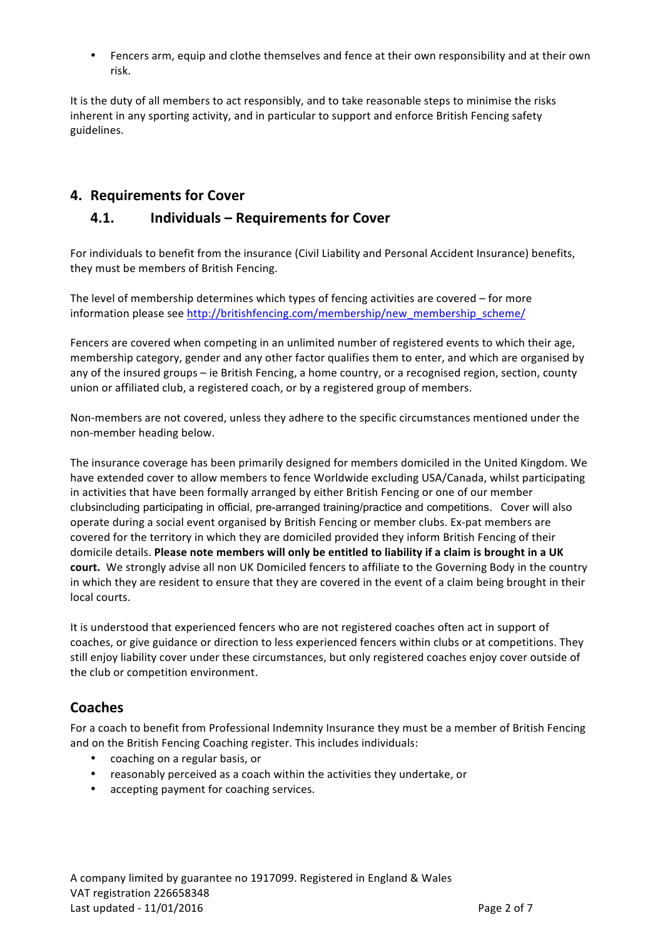Fencers arm, equip and clothe themselves and fence at their own responsibility and at their own risk.

It is the duty of all members to act responsibly, and to take reasonable steps to minimise the risks inherent in any sporting activity, and in particular to support and enforce British Fencing safety guidelines.

## **4. Requirements for Cover**

### **4.1. Individuals – Requirements for Cover**

For individuals to benefit from the insurance (Civil Liability and Personal Accident Insurance) benefits, they must be members of British Fencing.

The level of membership determines which types of fencing activities are covered  $-$  for more information please see http://britishfencing.com/membership/new\_membership\_scheme/

Fencers are covered when competing in an unlimited number of registered events to which their age, membership category, gender and any other factor qualifies them to enter, and which are organised by any of the insured groups – ie British Fencing, a home country, or a recognised region, section, county union or affiliated club, a registered coach, or by a registered group of members.

Non-members are not covered, unless they adhere to the specific circumstances mentioned under the non-member heading below.

The insurance coverage has been primarily designed for members domiciled in the United Kingdom. We have extended cover to allow members to fence Worldwide excluding USA/Canada, whilst participating in activities that have been formally arranged by either British Fencing or one of our member clubsincluding participating in official, pre-arranged training/practice and competitions. Cover will also operate during a social event organised by British Fencing or member clubs. Ex-pat members are covered for the territory in which they are domiciled provided they inform British Fencing of their domicile details. Please note members will only be entitled to liability if a claim is brought in a UK **court.** We strongly advise all non UK Domiciled fencers to affiliate to the Governing Body in the country in which they are resident to ensure that they are covered in the event of a claim being brought in their local courts.

It is understood that experienced fencers who are not registered coaches often act in support of coaches, or give guidance or direction to less experienced fencers within clubs or at competitions. They still enjoy liability cover under these circumstances, but only registered coaches enjoy cover outside of the club or competition environment.

### **Coaches**

For a coach to benefit from Professional Indemnity Insurance they must be a member of British Fencing and on the British Fencing Coaching register. This includes individuals:

- coaching on a regular basis, or
- reasonably perceived as a coach within the activities they undertake, or
- accepting payment for coaching services.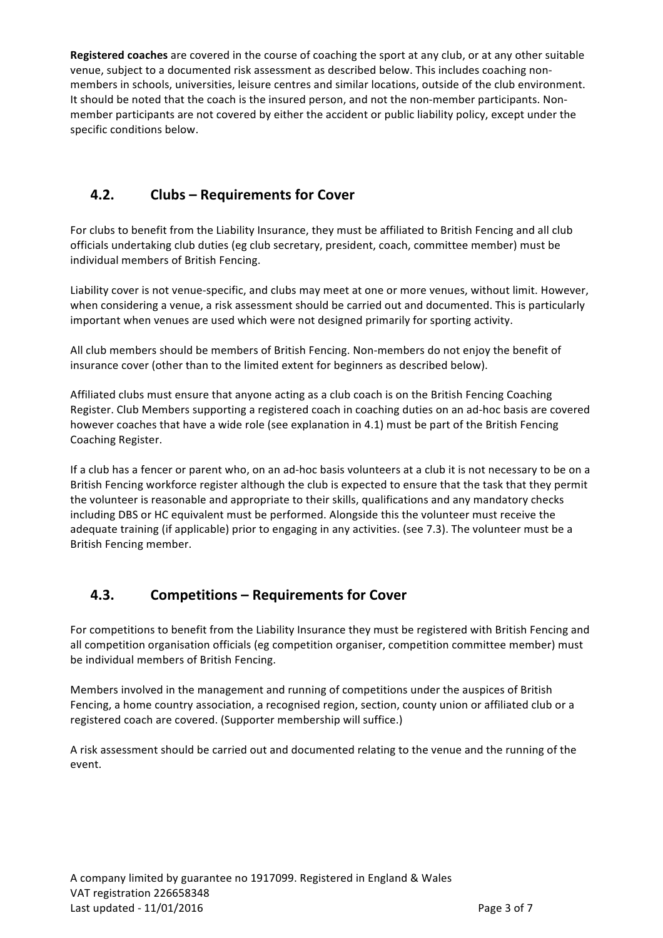**Registered coaches** are covered in the course of coaching the sport at any club, or at any other suitable venue, subject to a documented risk assessment as described below. This includes coaching nonmembers in schools, universities, leisure centres and similar locations, outside of the club environment. It should be noted that the coach is the insured person, and not the non-member participants. Nonmember participants are not covered by either the accident or public liability policy, except under the specific conditions below.

# **4.2. Clubs – Requirements for Cover**

For clubs to benefit from the Liability Insurance, they must be affiliated to British Fencing and all club officials undertaking club duties (eg club secretary, president, coach, committee member) must be individual members of British Fencing.

Liability cover is not venue-specific, and clubs may meet at one or more venues, without limit. However, when considering a venue, a risk assessment should be carried out and documented. This is particularly important when venues are used which were not designed primarily for sporting activity.

All club members should be members of British Fencing. Non-members do not enjoy the benefit of insurance cover (other than to the limited extent for beginners as described below).

Affiliated clubs must ensure that anyone acting as a club coach is on the British Fencing Coaching Register. Club Members supporting a registered coach in coaching duties on an ad-hoc basis are covered however coaches that have a wide role (see explanation in 4.1) must be part of the British Fencing Coaching Register.

If a club has a fencer or parent who, on an ad-hoc basis volunteers at a club it is not necessary to be on a British Fencing workforce register although the club is expected to ensure that the task that they permit the volunteer is reasonable and appropriate to their skills, qualifications and any mandatory checks including DBS or HC equivalent must be performed. Alongside this the volunteer must receive the adequate training (if applicable) prior to engaging in any activities. (see 7.3). The volunteer must be a British Fencing member.

# **4.3. Competitions – Requirements for Cover**

For competitions to benefit from the Liability Insurance they must be registered with British Fencing and all competition organisation officials (eg competition organiser, competition committee member) must be individual members of British Fencing.

Members involved in the management and running of competitions under the auspices of British Fencing, a home country association, a recognised region, section, county union or affiliated club or a registered coach are covered. (Supporter membership will suffice.)

A risk assessment should be carried out and documented relating to the venue and the running of the event.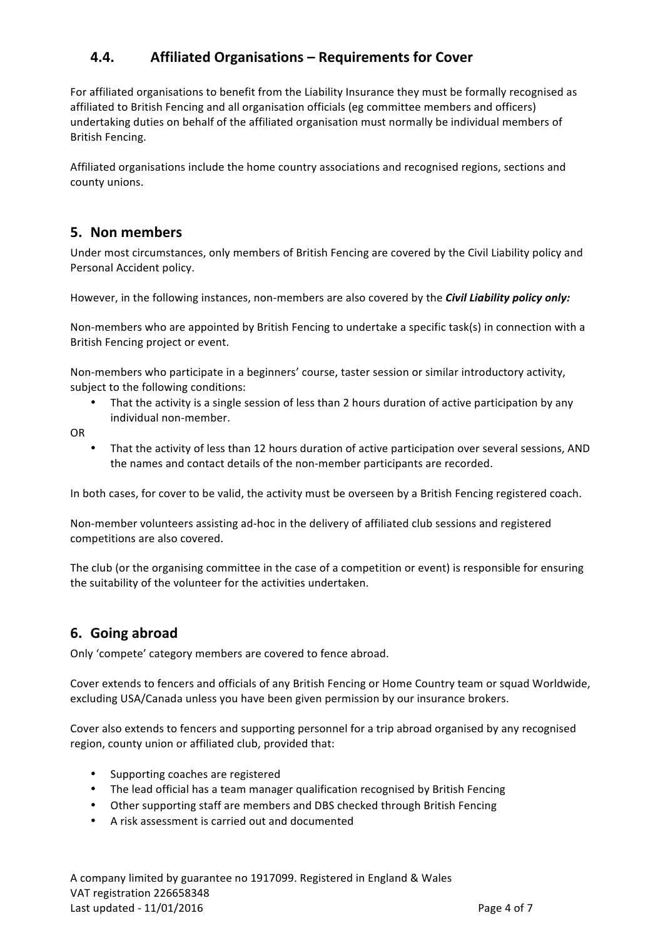# **4.4. Affiliated Organisations – Requirements for Cover**

For affiliated organisations to benefit from the Liability Insurance they must be formally recognised as affiliated to British Fencing and all organisation officials (eg committee members and officers) undertaking duties on behalf of the affiliated organisation must normally be individual members of British Fencing. 

Affiliated organisations include the home country associations and recognised regions, sections and county unions.

### **5. Non members**

Under most circumstances, only members of British Fencing are covered by the Civil Liability policy and Personal Accident policy.

However, in the following instances, non-members are also covered by the *Civil Liability policy only:* 

Non-members who are appointed by British Fencing to undertake a specific task(s) in connection with a British Fencing project or event.

Non-members who participate in a beginners' course, taster session or similar introductory activity, subject to the following conditions:

• That the activity is a single session of less than 2 hours duration of active participation by any individual non-member.

OR

That the activity of less than 12 hours duration of active participation over several sessions, AND the names and contact details of the non-member participants are recorded.

In both cases, for cover to be valid, the activity must be overseen by a British Fencing registered coach.

Non-member volunteers assisting ad-hoc in the delivery of affiliated club sessions and registered competitions are also covered.

The club (or the organising committee in the case of a competition or event) is responsible for ensuring the suitability of the volunteer for the activities undertaken.

# **6. Going abroad**

Only 'compete' category members are covered to fence abroad.

Cover extends to fencers and officials of any British Fencing or Home Country team or squad Worldwide, excluding USA/Canada unless you have been given permission by our insurance brokers.

Cover also extends to fencers and supporting personnel for a trip abroad organised by any recognised region, county union or affiliated club, provided that:

- Supporting coaches are registered
- The lead official has a team manager qualification recognised by British Fencing
- Other supporting staff are members and DBS checked through British Fencing
- A risk assessment is carried out and documented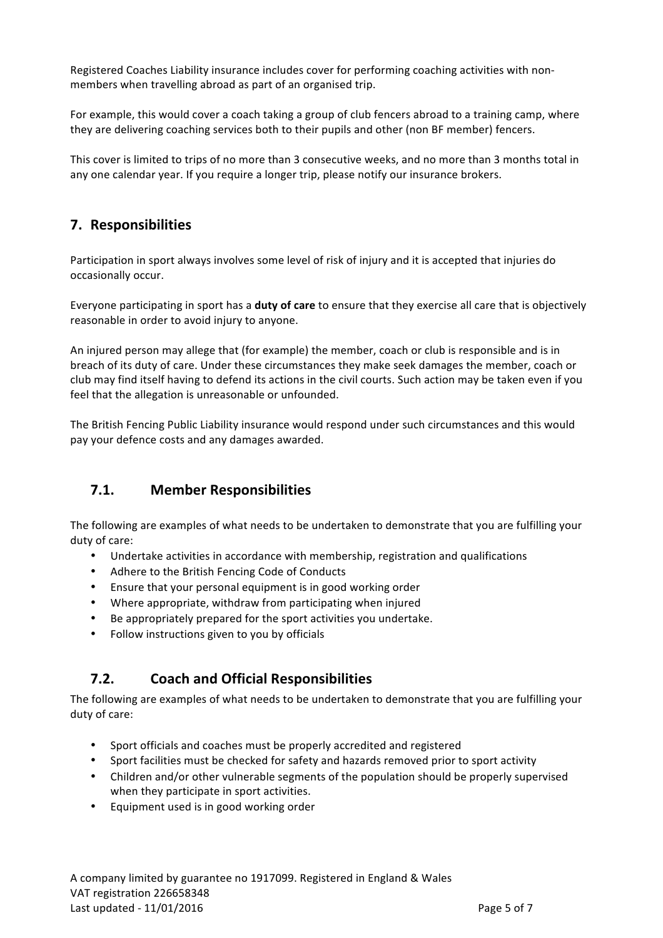Registered Coaches Liability insurance includes cover for performing coaching activities with nonmembers when travelling abroad as part of an organised trip.

For example, this would cover a coach taking a group of club fencers abroad to a training camp, where they are delivering coaching services both to their pupils and other (non BF member) fencers.

This cover is limited to trips of no more than 3 consecutive weeks, and no more than 3 months total in any one calendar year. If you require a longer trip, please notify our insurance brokers.

## **7. Responsibilities**

Participation in sport always involves some level of risk of injury and it is accepted that injuries do occasionally occur.

Everyone participating in sport has a **duty of care** to ensure that they exercise all care that is objectively reasonable in order to avoid injury to anyone.

An injured person may allege that (for example) the member, coach or club is responsible and is in breach of its duty of care. Under these circumstances they make seek damages the member, coach or club may find itself having to defend its actions in the civil courts. Such action may be taken even if you feel that the allegation is unreasonable or unfounded.

The British Fencing Public Liability insurance would respond under such circumstances and this would pay your defence costs and any damages awarded.

### **7.1. Member Responsibilities**

The following are examples of what needs to be undertaken to demonstrate that you are fulfilling your duty of care:

- Undertake activities in accordance with membership, registration and qualifications
- Adhere to the British Fencing Code of Conducts
- Ensure that your personal equipment is in good working order
- Where appropriate, withdraw from participating when injured
- Be appropriately prepared for the sport activities you undertake.
- Follow instructions given to you by officials

### **7.2. Coach and Official Responsibilities**

The following are examples of what needs to be undertaken to demonstrate that you are fulfilling your duty of care:

- Sport officials and coaches must be properly accredited and registered
- Sport facilities must be checked for safety and hazards removed prior to sport activity
- Children and/or other vulnerable segments of the population should be properly supervised when they participate in sport activities.
- Equipment used is in good working order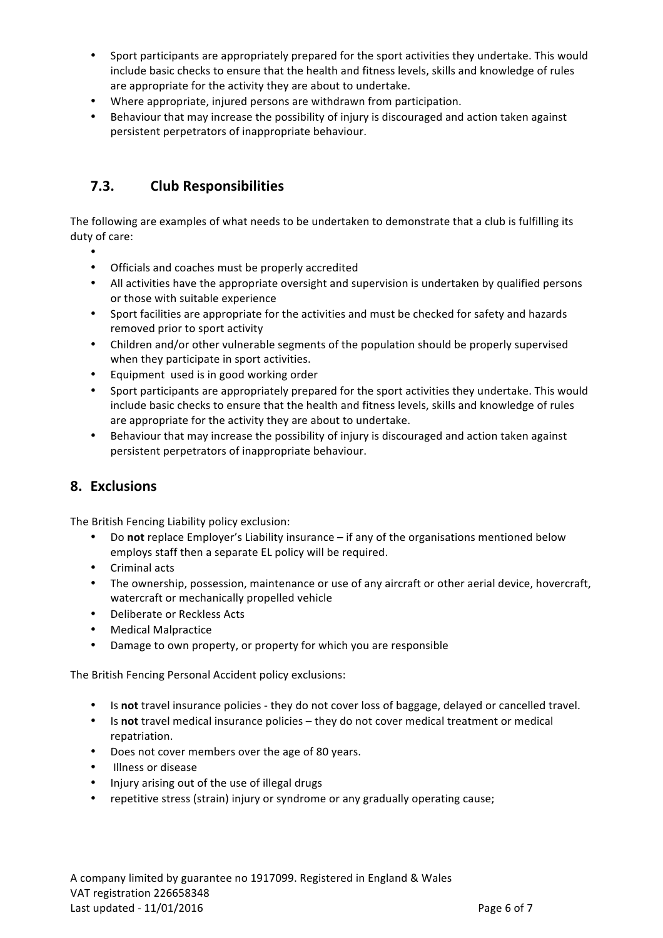- Sport participants are appropriately prepared for the sport activities they undertake. This would include basic checks to ensure that the health and fitness levels, skills and knowledge of rules are appropriate for the activity they are about to undertake.
- Where appropriate, injured persons are withdrawn from participation.
- Behaviour that may increase the possibility of injury is discouraged and action taken against persistent perpetrators of inappropriate behaviour.

# **7.3. Club Responsibilities**

The following are examples of what needs to be undertaken to demonstrate that a club is fulfilling its duty of care:

- •
- Officials and coaches must be properly accredited
- All activities have the appropriate oversight and supervision is undertaken by qualified persons or those with suitable experience
- Sport facilities are appropriate for the activities and must be checked for safety and hazards removed prior to sport activity
- Children and/or other vulnerable segments of the population should be properly supervised when they participate in sport activities.
- Equipment used is in good working order
- Sport participants are appropriately prepared for the sport activities they undertake. This would include basic checks to ensure that the health and fitness levels, skills and knowledge of rules are appropriate for the activity they are about to undertake.
- Behaviour that may increase the possibility of injury is discouraged and action taken against persistent perpetrators of inappropriate behaviour.

### **8. Exclusions**

The British Fencing Liability policy exclusion:

- Do **not** replace Employer's Liability insurance if any of the organisations mentioned below employs staff then a separate EL policy will be required.
- Criminal acts
- The ownership, possession, maintenance or use of any aircraft or other aerial device, hovercraft, watercraft or mechanically propelled vehicle
- Deliberate or Reckless Acts
- Medical Malpractice
- Damage to own property, or property for which you are responsible

The British Fencing Personal Accident policy exclusions:

- Is **not** travel insurance policies they do not cover loss of baggage, delayed or cancelled travel.
- Is not travel medical insurance policies they do not cover medical treatment or medical repatriation.
- Does not cover members over the age of 80 years.
- Illness or disease
- Injury arising out of the use of illegal drugs
- repetitive stress (strain) injury or syndrome or any gradually operating cause;